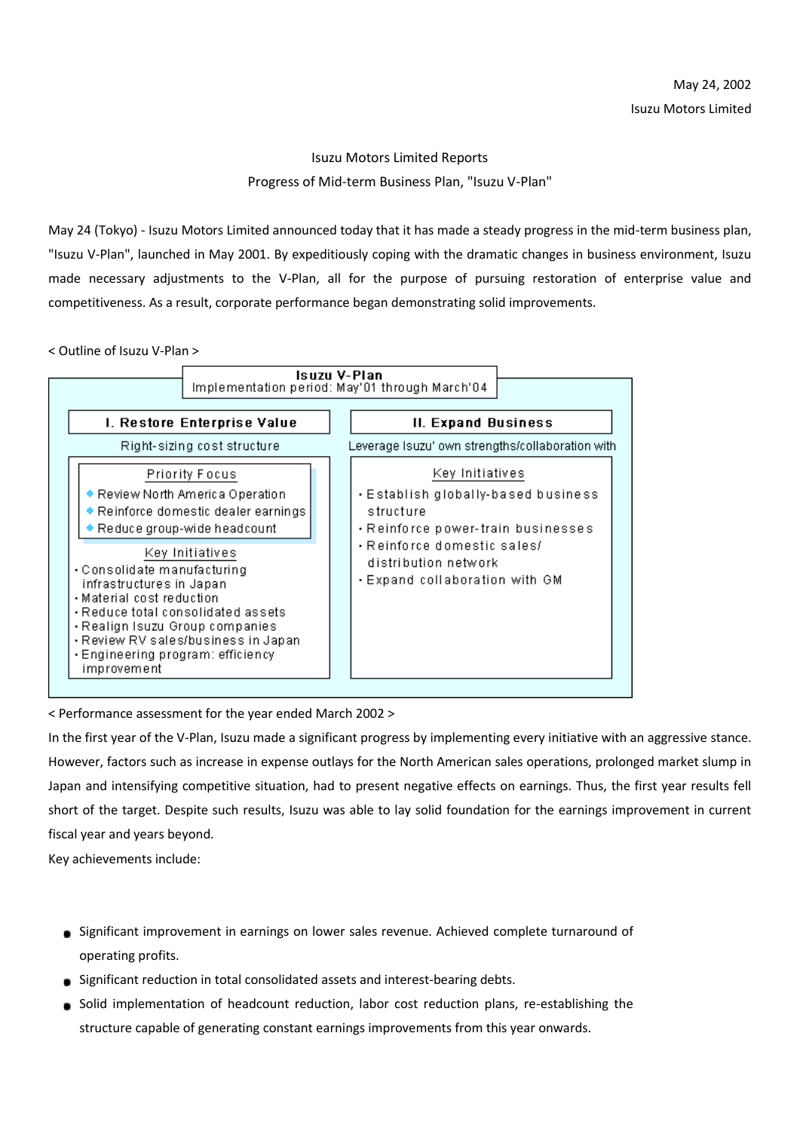## Isuzu Motors Limited Reports Progress of Mid-term Business Plan, "Isuzu V-Plan"

May 24 (Tokyo) - Isuzu Motors Limited announced today that it has made a steady progress in the mid-term business plan, "Isuzu V-Plan", launched in May 2001. By expeditiously coping with the dramatic changes in business environment, Isuzu made necessary adjustments to the V-Plan, all for the purpose of pursuing restoration of enterprise value and competitiveness. As a result, corporate performance began demonstrating solid improvements.

< Outline of Isuzu V-Plan >



< Performance assessment for the year ended March 2002 >

In the first year of the V-Plan, Isuzu made a significant progress by implementing every initiative with an aggressive stance. However, factors such as increase in expense outlays for the North American sales operations, prolonged market slump in Japan and intensifying competitive situation, had to present negative effects on earnings. Thus, the first year results fell short of the target. Despite such results, Isuzu was able to lay solid foundation for the earnings improvement in current fiscal year and years beyond.

Key achievements include:

- Significant improvement in earnings on lower sales revenue. Achieved complete turnaround of operating profits.
- Significant reduction in total consolidated assets and interest-bearing debts.
- Solid implementation of headcount reduction, labor cost reduction plans, re-establishing the structure capable of generating constant earnings improvements from this year onwards.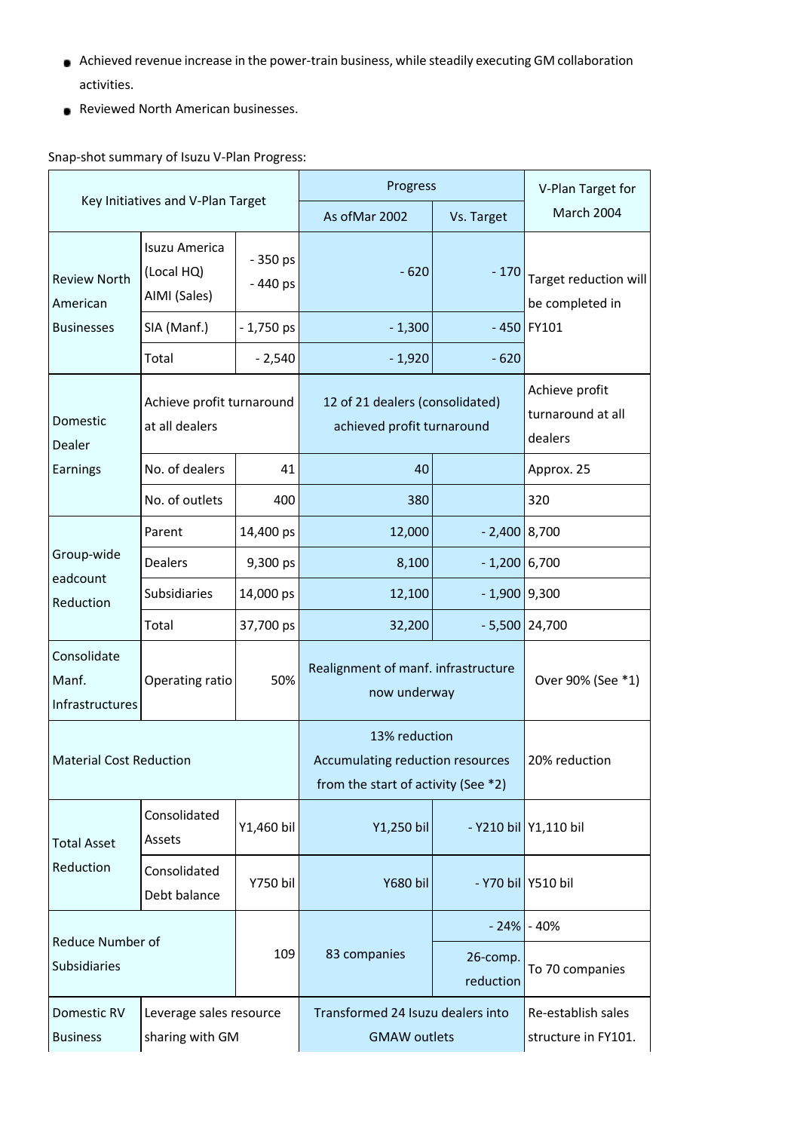- Achieved revenue increase in the power-train business, while steadily executing GM collaboration activities.
- **Reviewed North American businesses.**

## Snap-shot summary of Isuzu V-Plan Progress:

| Key Initiatives and V-Plan Target                    |                                             |                      | Progress<br>As of Mar 2002                                                               | Vs. Target            | V-Plan Target for<br>March 2004                |
|------------------------------------------------------|---------------------------------------------|----------------------|------------------------------------------------------------------------------------------|-----------------------|------------------------------------------------|
| <b>Review North</b><br>American<br><b>Businesses</b> | Isuzu America<br>(Local HQ)<br>AIMI (Sales) | $-350$ ps<br>-440 ps | $-620$                                                                                   | $-170$                | Target reduction will<br>be completed in       |
|                                                      | SIA (Manf.)                                 | $-1,750$ ps          | $-1,300$                                                                                 |                       | $-450$ FY101                                   |
|                                                      | Total                                       | $-2,540$             | $-1,920$                                                                                 | $-620$                |                                                |
| Domestic<br>Dealer<br>Earnings                       | Achieve profit turnaround<br>at all dealers |                      | 12 of 21 dealers (consolidated)<br>achieved profit turnaround                            |                       | Achieve profit<br>turnaround at all<br>dealers |
|                                                      | No. of dealers                              | 41                   | 40                                                                                       |                       | Approx. 25                                     |
|                                                      | No. of outlets                              | 400                  | 380                                                                                      |                       | 320                                            |
| Group-wide<br>eadcount<br>Reduction                  | Parent                                      | 14,400 ps            | 12,000                                                                                   | $-2,400$ 8,700        |                                                |
|                                                      | <b>Dealers</b>                              | 9,300 ps             | 8,100                                                                                    | $-1,200$ 6,700        |                                                |
|                                                      | Subsidiaries                                | 14,000 ps            | 12,100                                                                                   | $-1,900$ 9,300        |                                                |
|                                                      | Total                                       | 37,700 ps            | 32,200                                                                                   |                       | $-5,500$ 24,700                                |
| Consolidate<br>Manf.<br>Infrastructures              | Operating ratio                             | 50%                  | Realignment of manf. infrastructure<br>now underway                                      |                       | Over 90% (See *1)                              |
| <b>Material Cost Reduction</b>                       |                                             |                      | 13% reduction<br>Accumulating reduction resources<br>from the start of activity (See *2) |                       | 20% reduction                                  |
| <b>Total Asset</b><br>Reduction                      | Consolidated<br>Assets                      | Y1,460 bil           | Y1,250 bil                                                                               |                       | - Y210 bil Y1,110 bil                          |
|                                                      | Consolidated<br>Debt balance                | <b>Y750 bil</b>      | <b>Y680 bil</b>                                                                          |                       | - Y70 bil Y510 bil                             |
| Reduce Number of                                     |                                             |                      | $-24%$                                                                                   | $-40%$                |                                                |
| Subsidiaries                                         |                                             | 109                  | 83 companies                                                                             | 26-comp.<br>reduction | To 70 companies                                |
| Domestic RV<br><b>Business</b>                       | Leverage sales resource<br>sharing with GM  |                      | Transformed 24 Isuzu dealers into<br><b>GMAW</b> outlets                                 |                       | Re-establish sales<br>structure in FY101.      |